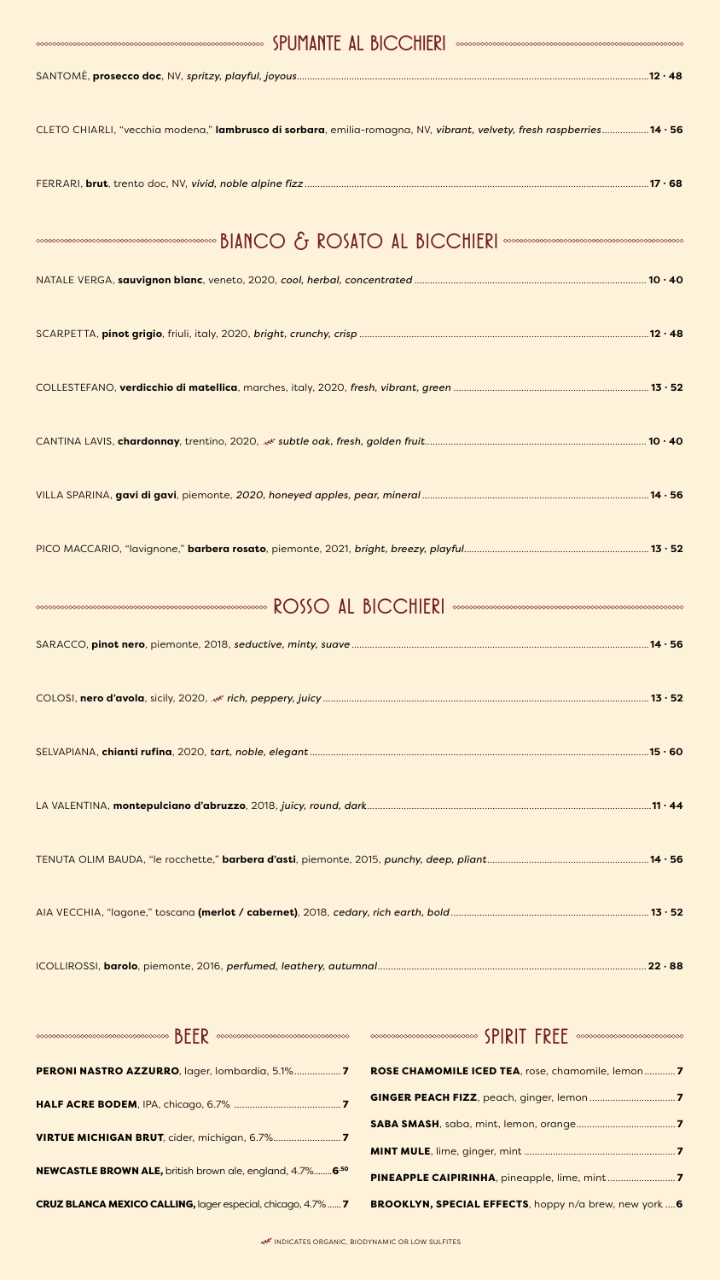| <b>MARRIE AL BICCHIERI</b>                                                                                            |
|-----------------------------------------------------------------------------------------------------------------------|
|                                                                                                                       |
| CLETO CHIARLI, "vecchia modena," lambrusco di sorbara, emilia-romagna, NV, vibrant, velvety, fresh raspberries14 · 56 |
|                                                                                                                       |
|                                                                                                                       |
|                                                                                                                       |
|                                                                                                                       |
|                                                                                                                       |
|                                                                                                                       |
|                                                                                                                       |
|                                                                                                                       |

| <b>MOSSO AL BICCHIERI</b> |  |  |  |
|---------------------------|--|--|--|
|---------------------------|--|--|--|

|                                                                                                                                                                                                                                                                                                                                                                                                                                                                                                                                                                                                                                                               | $.22 \cdot 88$ |
|---------------------------------------------------------------------------------------------------------------------------------------------------------------------------------------------------------------------------------------------------------------------------------------------------------------------------------------------------------------------------------------------------------------------------------------------------------------------------------------------------------------------------------------------------------------------------------------------------------------------------------------------------------------|----------------|
| $\textcolor{blue}{\bullet} \textcolor{blue}{\bullet} \textcolor{blue}{\bullet} \textcolor{blue}{\bullet} \textcolor{blue}{\bullet} \textcolor{blue}{\bullet} \textcolor{blue}{\bullet} \textcolor{blue}{\bullet} \textcolor{blue}{\bullet} \textcolor{blue}{\bullet} \textcolor{blue}{\bullet} \textcolor{blue}{\bullet} \textcolor{blue}{\bullet} \textcolor{blue}{\bullet} \textcolor{blue}{\bullet} \textcolor{blue}{\bullet} \textcolor{blue}{\bullet} \textcolor{blue}{\bullet} \textcolor{blue}{\bullet} \textcolor{blue}{\bullet} \textcolor{blue}{\bullet} \textcolor{blue}{\bullet} \textcolor{blue}{\bullet} \textcolor{blue}{\bullet} \textcolor{$ |                |
|                                                                                                                                                                                                                                                                                                                                                                                                                                                                                                                                                                                                                                                               |                |
|                                                                                                                                                                                                                                                                                                                                                                                                                                                                                                                                                                                                                                                               |                |
|                                                                                                                                                                                                                                                                                                                                                                                                                                                                                                                                                                                                                                                               |                |
| <b>NEWCASTLE BROWN ALE, british brown ale, england, 4.7% 6.50</b>                                                                                                                                                                                                                                                                                                                                                                                                                                                                                                                                                                                             |                |



#### INDICATES ORGANIC, BIODYNAMIC OR LOW SULFITES

### CRUZ BLANCA MEXICO CALLING, lager especial, chicago, 4.7%...... 7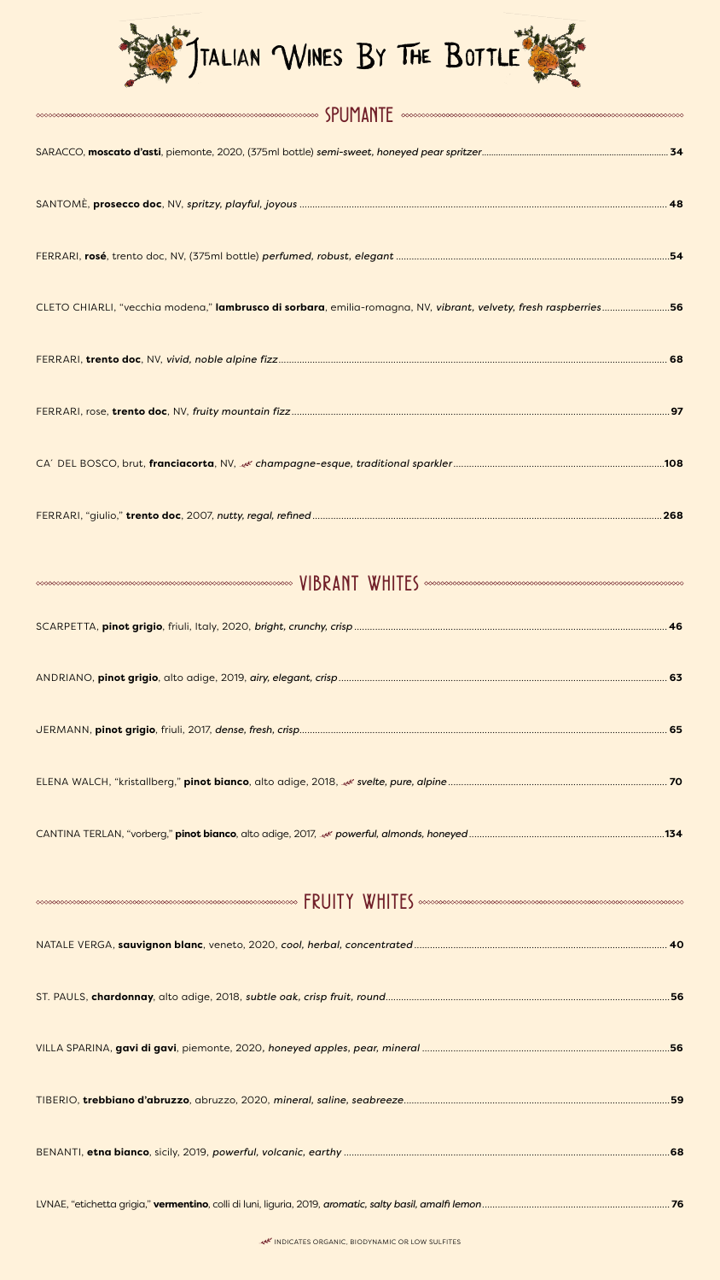

| $\textit{SPUMMF} \label{SPUMMF} \textit{S} \textit{PUMMF} \textit{R} \textit{PUMP} \textit{R} \textit{PUMR} \textit{PUMR} \textit{PUMR} \textit{PUMR} \textit{PUMR} \textit{PUMR} \textit{PUMR} \textit{PUMR} \textit{PUMR} \textit{PUMR} \textit{PUMR} \textit{PUMR} \textit{PUMR} \textit{PUMR} \textit{PUMR} \textit{PUMR} \textit{PUMR} \textit{PUMR} \textit{PUMR} \textit{PUMR} \textit{PUMR}$ |
|------------------------------------------------------------------------------------------------------------------------------------------------------------------------------------------------------------------------------------------------------------------------------------------------------------------------------------------------------------------------------------------------------|
|                                                                                                                                                                                                                                                                                                                                                                                                      |
|                                                                                                                                                                                                                                                                                                                                                                                                      |
|                                                                                                                                                                                                                                                                                                                                                                                                      |
| CLETO CHIARLI, "vecchia modena," lambrusco di sorbara, emilia-romagna, NV, vibrant, velvety, fresh raspberries56                                                                                                                                                                                                                                                                                     |
|                                                                                                                                                                                                                                                                                                                                                                                                      |
|                                                                                                                                                                                                                                                                                                                                                                                                      |
|                                                                                                                                                                                                                                                                                                                                                                                                      |
| .268                                                                                                                                                                                                                                                                                                                                                                                                 |



| $FRUITY \quad WHHTE5\quad \textit{conconogeneous} \quad \textit{ex} \quad \textit{so} \quad \textit{so} \quad \textit{so} \quad \textit{so} \quad \textit{so} \quad \textit{so} \quad \textit{so} \quad \textit{so} \quad \textit{so} \quad \textit{so} \quad \textit{so} \quad \textit{so} \quad \textit{so} \quad \textit{so} \quad \textit{so} \quad \textit{so} \quad \textit{so} \quad \textit{so} \quad \textit{so} \quad \textit{so} \quad \textit{so} \quad \textit{so} \quad \textit{so} \quad \textit{so} \$ |
|------------------------------------------------------------------------------------------------------------------------------------------------------------------------------------------------------------------------------------------------------------------------------------------------------------------------------------------------------------------------------------------------------------------------------------------------------------------------------------------------------------------------|
|                                                                                                                                                                                                                                                                                                                                                                                                                                                                                                                        |
|                                                                                                                                                                                                                                                                                                                                                                                                                                                                                                                        |
|                                                                                                                                                                                                                                                                                                                                                                                                                                                                                                                        |
|                                                                                                                                                                                                                                                                                                                                                                                                                                                                                                                        |
|                                                                                                                                                                                                                                                                                                                                                                                                                                                                                                                        |

#### LVNAE, "etichetta grigia," **vermentino**, colli di luni, liguria, 2019, *aromatic, salty basil, amalfi lemon*........................................................................ **76**

#### INDICATES ORGANIC, BIODYNAMIC OR LOW SULFITES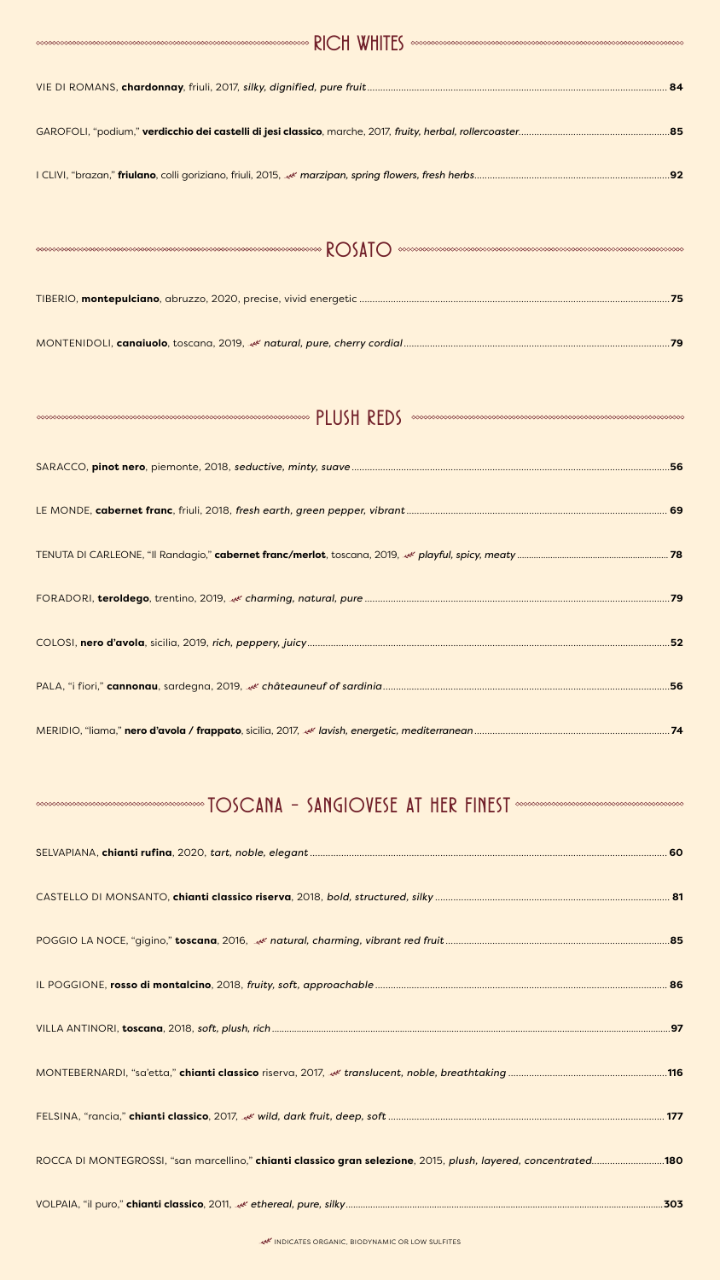#### INDICATES ORGANIC, BIODYNAMIC OR LOW SULFITES

I CLIVI, "brazan," **friulano**, colli goriziano, friuli, 2015, *marzipan, spring flowers, fresh herbs*...........................................................................**92**

|--|--|--|

|--|--|--|--|

### $\sim$

| <b>CONSUMINGIOVESE AT HER FINEST</b> SUPPOSYDING COMPOSITION CONTRACT CONTRACT CONTRACT CONTRACT CONSUMING CONTRACT O |  |
|-----------------------------------------------------------------------------------------------------------------------|--|
|                                                                                                                       |  |
|                                                                                                                       |  |
|                                                                                                                       |  |
|                                                                                                                       |  |
|                                                                                                                       |  |
|                                                                                                                       |  |
|                                                                                                                       |  |
| ROCCA DI MONTEGROSSI, "san marcellino," chianti classico gran selezione, 2015, plush, layered, concentrated180        |  |

### VOLPAIA, "il puro," **chianti classico**, 2011, *ethereal, pure, silky*.................................................................................................................................**303**